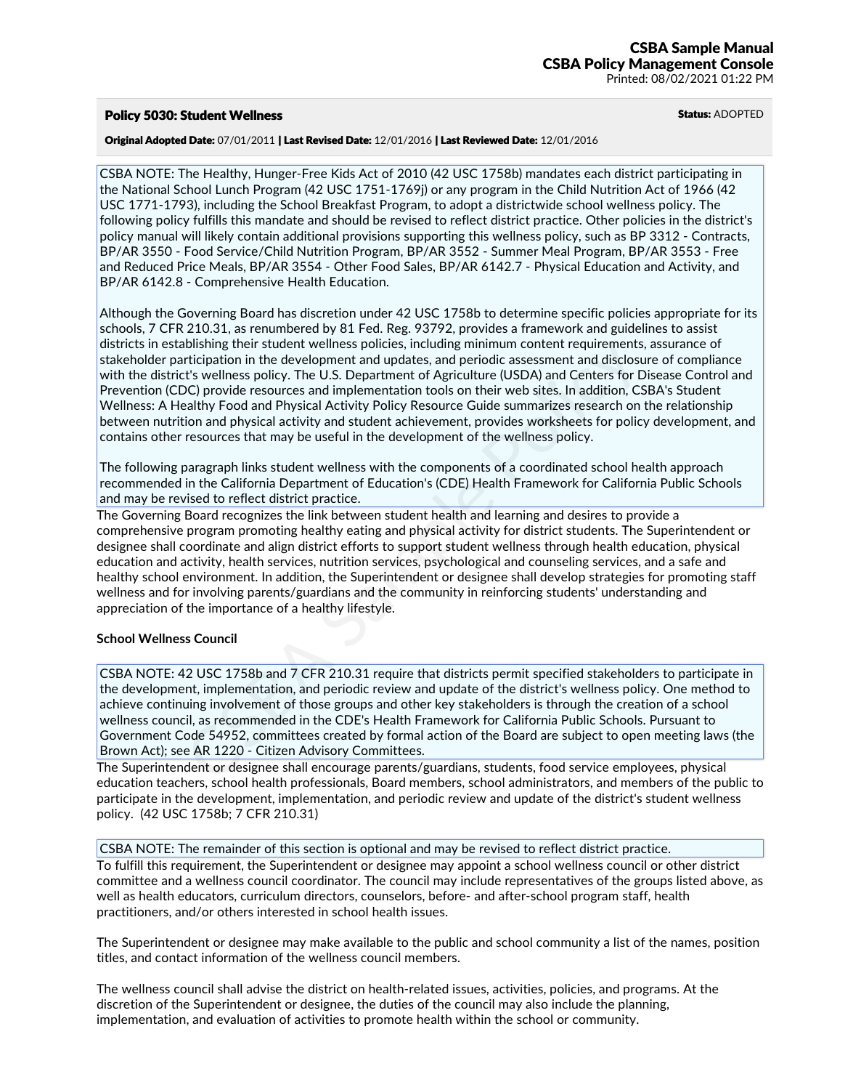## Policy 5030: Student Wellness and Status: ADOPTED

#### Original Adopted Date: 07/01/2011 | Last Revised Date: 12/01/2016 | Last Reviewed Date: 12/01/2016

CSBA NOTE: The Healthy, Hunger-Free Kids Act of 2010 (42 USC 1758b) mandates each district participating in the National School Lunch Program (42 USC 1751-1769j) or any program in the Child Nutrition Act of 1966 (42 USC 1771-1793), including the School Breakfast Program, to adopt a districtwide school wellness policy. The following policy fulfills this mandate and should be revised to reflect district practice. Other policies in the district's policy manual will likely contain additional provisions supporting this wellness policy, such as BP 3312 - Contracts,<br>BP/AR 3550 - Food Service/Child Nutrition Program, BP/AR 3552 - Summer Meal Program, BP/AR 3553 - Free and Reduced Price Meals, BP/AR 3554 - Other Food Sales, BP/AR 6142.7 - Physical Education and Activity, and BP/AR 6142.8 - Comprehensive Health Education.

Although the Governing Board has discretion under 42 USC 1758b to determine specific policies appropriate for its schools, 7 CFR 210.31, as renumbered by 81 Fed. Reg. 93792, provides a framework and guidelines to assist districts in establishing their student wellness policies, including minimum content requirements, assurance of stakeholder participation in the development and updates, and periodic assessment and disclosure of compliance with the district's wellness policy. The U.S. Department of Agriculture (USDA) and Centers for Disease Control and Prevention (CDC) provide resources and implementation tools on their web sites. In addition, CSBA's Student Wellness: A Healthy Food and Physical Activity Policy Resource Guide summarizes research on the relationship between nutrition and physical activity and student achievement, provides worksheets for policy development, and contains other resources that may be useful in the development of the wellness policy.

The following paragraph links student wellness with the components of a coordinated school health approach recommended in the California Department of Education's (CDE) Health Framework for California Public Schools and may be revised to reflect district practice.

The Governing Board recognizes the link between student health and learning and desires to provide a comprehensive program promoting healthy eating and physical activity for district students. The Superintendent or designee shall coordinate and align district efforts to support student wellness through health education, physical education and activity, health services, nutrition services, psychological and counseling services, and a safe and healthy school environment. In addition, the Superintendent or designee shall develop strategies for promoting staff wellness and for involving parents/guardians and the community in reinforcing students' understanding and appreciation of the importance of a healthy lifestyle. blishing their student wellness policies, including minimum content requirements<br>tricipation in the development and updates, and periodic assessment and disclosus<br>f's wellness policy. The U.S. Department of Agriculture (US

### **School Wellness Council**

CSBA NOTE: 42 USC 1758b and 7 CFR 210.31 require that districts permit specified stakeholders to participate in the development, implementation, and periodic review and update of the district's wellness policy. One method to achieve continuing involvement of those groups and other key stakeholders is through the creation of a school wellness council, as recommended in the CDE's Health Framework for California Public Schools. Pursuant to Government Code 54952, committees created by formal action of the Board are subject to open meeting laws (the Brown Act); see AR 1220 - Citizen Advisory Committees.

The Superintendent or designee shall encourage parents/guardians, students, food service employees, physical education teachers, school health professionals, Board members, school administrators, and members of the public to participate in the development, implementation, and periodic review and update of the district's student wellness policy. (42 USC 1758b; 7 CFR 210.31)

CSBA NOTE: The remainder of this section is optional and may be revised to reflect district practice.

To fulfill this requirement, the Superintendent or designee may appoint a school wellness council or other district committee and a wellness council coordinator. The council may include representatives of the groups listed above, as well as health educators, curriculum directors, counselors, before- and after-school program staff, health practitioners, and/or others interested in school health issues.

The Superintendent or designee may make available to the public and school community a list of the names, position titles, and contact information of the wellness council members.

The wellness council shall advise the district on health-related issues, activities, policies, and programs. At the discretion of the Superintendent or designee, the duties of the council may also include the planning, implementation, and evaluation of activities to promote health within the school or community.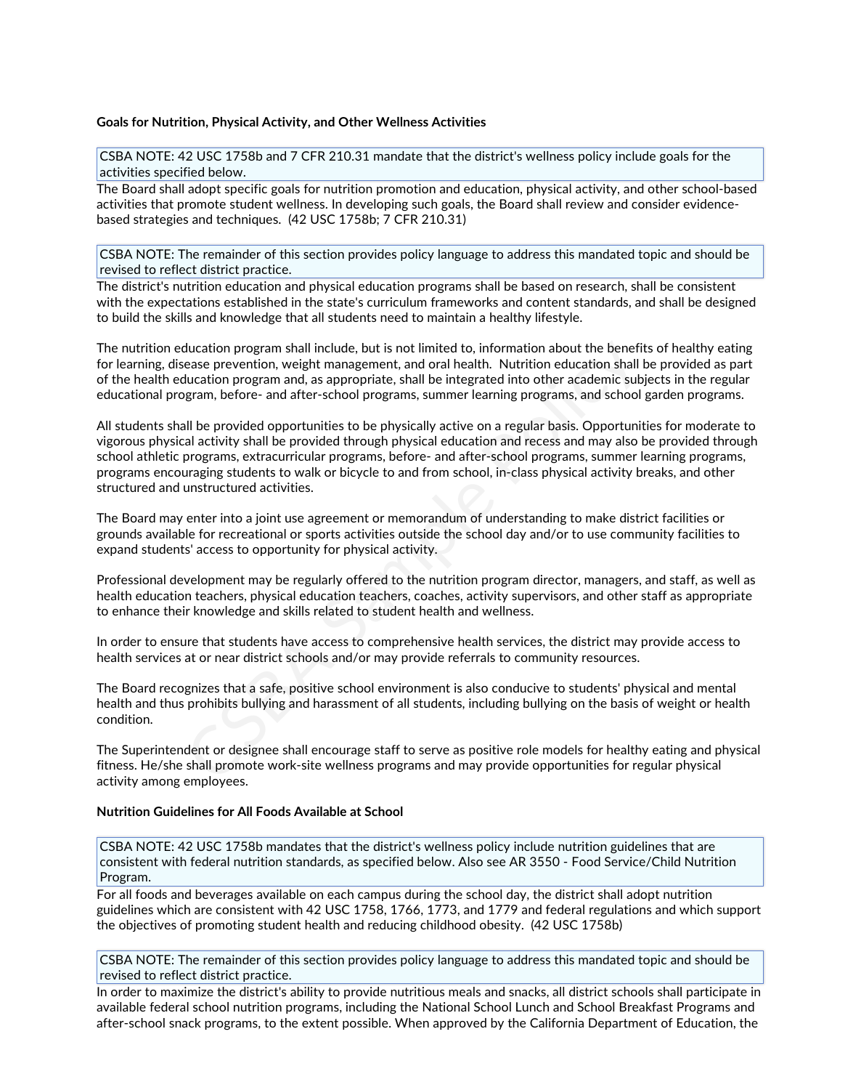### **Goals for Nutrition, Physical Activity, and Other Wellness Activities**

CSBA NOTE: 42 USC 1758b and 7 CFR 210.31 mandate that the district's wellness policy include goals for the activities specified below.

The Board shall adopt specific goals for nutrition promotion and education, physical activity, and other school-based activities that promote student wellness. In developing such goals, the Board shall review and consider evidence<br>based strategies and techniques. (42 USC 1758b; 7 CFR 210.31)

CSBA NOTE: The remainder of this section provides policy language to address this mandated topic and should be revised to reflect district practice.

The district's nutrition education and physical education programs shall be based on research, shall be consistent with the expectations established in the state's curriculum frameworks and content standards, and shall be designed to build the skills and knowledge that all students need to maintain a healthy lifestyle.

The nutrition education program shall include, but is not limited to, information about the benefits of healthy eating for learning, disease prevention, weight management, and oral health. Nutrition education shall be provided as part of the health education program and, as appropriate, shall be integrated into other academic subjects in the regular educational program, before- and after-school programs, summer learning programs, and school garden programs.

All students shall be provided opportunities to be physically active on a regular basis. Opportunities for moderate to vigorous physical activity shall be provided through physical education and recess and may also be provided through school athletic programs, extracurricular programs, before- and after-school programs, summer learning programs, programs encouraging students to walk or bicycle to and from school, in-class physical activity breaks, and other structured and unstructured activities. ducation program shall include, but is not limited to, information about the beneficase prevention, weight management, and oral health. Nutrition education shall be integrated into other academic subgram, before- and after

The Board may enter into a joint use agreement or memorandum of understanding to make district facilities or grounds available for recreational or sports activities outside the school day and/or to use community facilities to expand students' access to opportunity for physical activity.

Professional development may be regularly offered to the nutrition program director, managers, and staff, as well as health education teachers, physical education teachers, coaches, activity supervisors, and other staff as appropriate to enhance their knowledge and skills related to student health and wellness.

In order to ensure that students have access to comprehensive health services, the district may provide access to health services at or near district schools and/or may provide referrals to community resources.

The Board recognizes that a safe, positive school environment is also conducive to students' physical and mental health and thus prohibits bullying and harassment of all students, including bullying on the basis of weight or health condition.

The Superintendent or designee shall encourage staff to serve as positive role models for healthy eating and physical fitness. He/she shall promote work-site wellness programs and may provide opportunities for regular physical activity among employees.

#### **Nutrition Guidelines for All Foods Available at School**

CSBA NOTE: 42 USC 1758b mandates that the district's wellness policy include nutrition guidelines that are consistent with federal nutrition standards, as specified below. Also see AR 3550 - Food Service/Child Nutrition Program.

For all foods and beverages available on each campus during the school day, the district shall adopt nutrition guidelines which are consistent with 42 USC 1758, 1766, 1773, and 1779 and federal regulations and which support the objectives of promoting student health and reducing childhood obesity. (42 USC 1758b)

CSBA NOTE: The remainder of this section provides policy language to address this mandated topic and should be revised to reflect district practice.

In order to maximize the district's ability to provide nutritious meals and snacks, all district schools shall participate in available federal school nutrition programs, including the National School Lunch and School Breakfast Programs and after-school snack programs, to the extent possible. When approved by the California Department of Education, the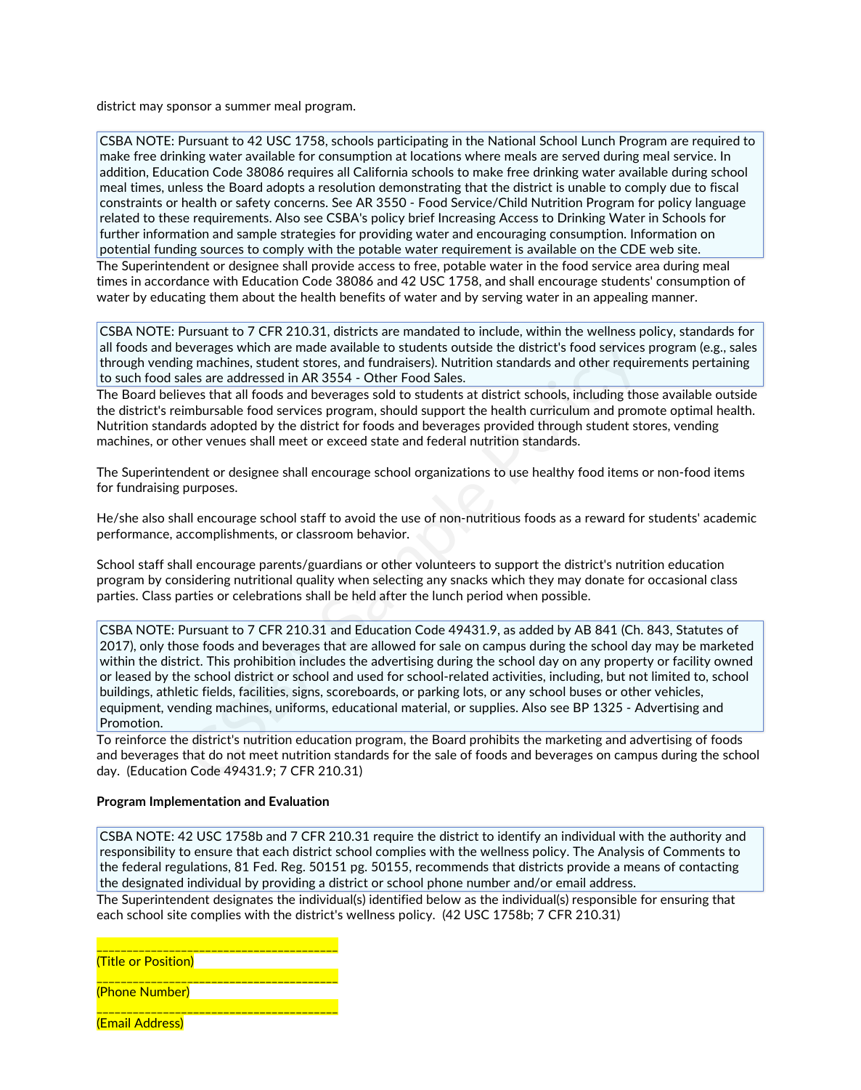district may sponsor a summer meal program.

CSBA NOTE: Pursuant to 42 USC 1758, schools participating in the National School Lunch Program are required to make free drinking water available for consumption at locations where meals are served during meal service. In addition, Education Code 38086 requires all California schools to make free drinking water available during school meal times, unless the Board adopts a resolution demonstrating that the district is unable to comply due to fiscal constraints or health or safety concerns. See AR 3550 - Food Service/Child Nutrition Program for policy language related to these requirements. Also see CSBA's policy brief Increasing Access to Drinking Water in Schools for further information and sample strategies for providing water and encouraging consumption. Information on potential funding sources to comply with the potable water requirement is available on the CDE web site. The Superintendent or designee shall provide access to free, potable water in the food service area during meal times in accordance with Education Code 38086 and 42 USC 1758, and shall encourage students' consumption of water by educating them about the health benefits of water and by serving water in an appealing manner.

CSBA NOTE: Pursuant to 7 CFR 210.31, districts are mandated to include, within the wellness policy, standards for all foods and beverages which are made available to students outside the district's food services program (e.g., sales through vending machines, student stores, and fundraisers). Nutrition standards and other requirements pertaining to such food sales are addressed in AR 3554 - Other Food Sales.

The Board believes that all foods and beverages sold to students at district schools, including those available outside the district's reimbursable food services program, should support the health curriculum and promote optimal health. Nutrition standards adopted by the district for foods and beverages provided through student stores, vending machines, or other venues shall meet or exceed state and federal nutrition standards.

The Superintendent or designee shall encourage school organizations to use healthy food items or non-food items for fundraising purposes.

He/she also shall encourage school staff to avoid the use of non-nutritious foods as a reward for students' academic performance, accomplishments, or classroom behavior.

School staff shall encourage parents/guardians or other volunteers to support the district's nutrition education program by considering nutritional quality when selecting any snacks which they may donate for occasional class parties. Class parties or celebrations shall be held after the lunch period when possible.

CSBA NOTE: Pursuant to 7 CFR 210.31 and Education Code 49431.9, as added by AB 841 (Ch. 843, Statutes of 2017), only those foods and beverages that are allowed for sale on campus during the school day may be marketed within the district. This prohibition includes the advertising during the school day on any property or facility owned or leased by the school district or school and used for school-related activities, including, but not limited to, school buildings, athletic fields, facilities, signs, scoreboards, or parking lots, or any school buses or other vehicles, equipment, vending machines, uniforms, educational material, or supplies. Also see BP 1325 - Advertising and Promotion. everages which are made available to students outside the district's food services<br>ig machines, student stores, and fundarisers). Nutrition standards and other requive<br>isles are addressed in AR 3554 - Other Food Sales.<br>We

To reinforce the district's nutrition education program, the Board prohibits the marketing and advertising of foods and beverages that do not meet nutrition standards for the sale of foods and beverages on campus during the school day. (Education Code 49431.9; 7 CFR 210.31)

### **Program Implementation and Evaluation**

CSBA NOTE: 42 USC 1758b and 7 CFR 210.31 require the district to identify an individual with the authority and responsibility to ensure that each district school complies with the wellness policy. The Analysis of Comments to the federal regulations, 81 Fed. Reg. 50151 pg. 50155, recommends that districts provide a means of contacting the designated individual by providing a district or school phone number and/or email address.

The Superintendent designates the individual(s) identified below as the individual(s) responsible for ensuring that each school site complies with the district's wellness policy. (42 USC 1758b; 7 CFR 210.31)

\_\_\_\_\_\_\_\_\_\_\_\_\_\_\_\_\_\_\_\_\_\_\_\_\_\_\_\_\_\_\_\_\_\_\_\_\_\_\_\_ (Title or Position)

(Phone Number)

(Email Address)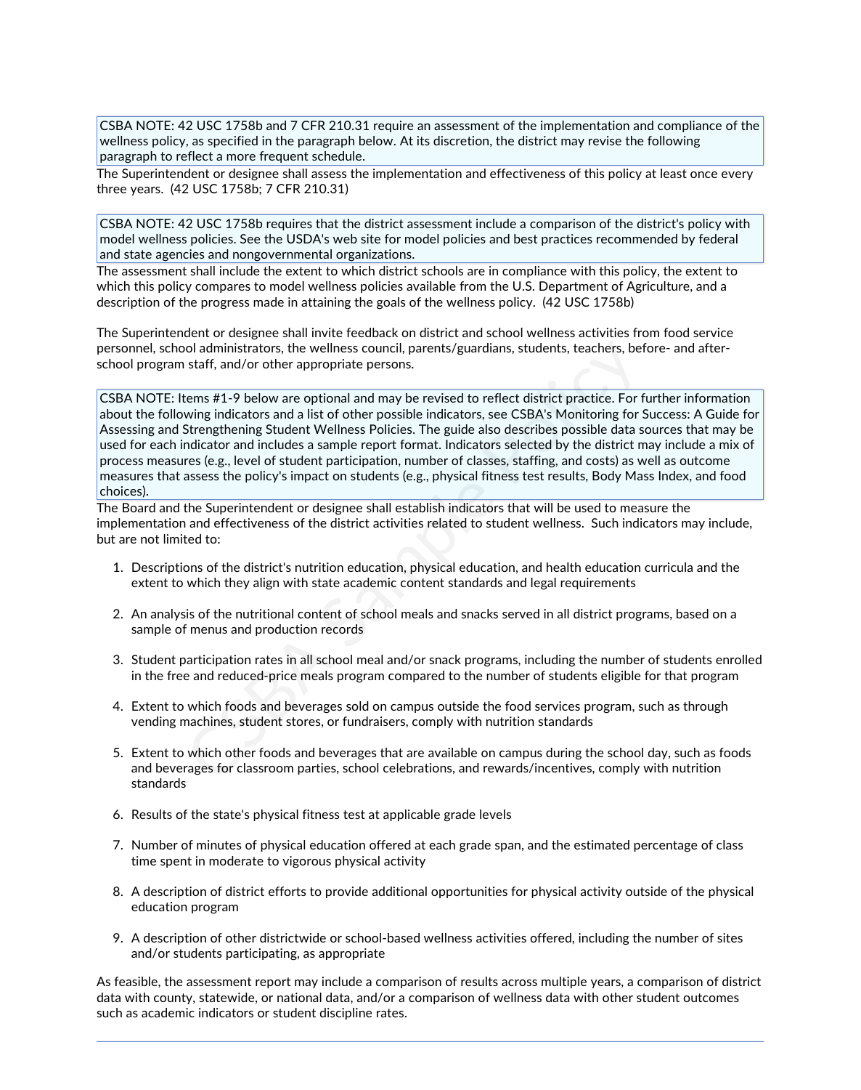CSBA NOTE: 42 USC 1758b and 7 CFR 210.31 require an assessment of the implementation and compliance of the wellness policy, as specified in the paragraph below. At its discretion, the district may revise the following paragraph to reflect a more frequent schedule.

The Superintendent or designee shall assess the implementation and effectiveness of this policy at least once every three years. (42 USC 1758b; 7 CFR 210.31)

CSBA NOTE: 42 USC 1758b requires that the district assessment include a comparison of the district's policy with model wellness policies. See the USDA's web site for model policies and best practices recommended by federal and state agencies and nongovernmental organizations.

The assessment shall include the extent to which district schools are in compliance with this policy, the extent to which this policy compares to model wellness policies available from the U.S. Department of Agriculture, and a description of the progress made in attaining the goals of the wellness policy. (42 USC 1758b)

The Superintendent or designee shall invite feedback on district and school wellness activities from food service personnel, school administrators, the wellness council, parents/guardians, students, teachers, before- and after-<br>school program staff, and/or other appropriate persons.

CSBA NOTE: Items #1-9 below are optional and may be revised to reflect district practice. For further information about the following indicators and a list of other possible indicators, see CSBA's Monitoring for Success: A Guide for Assessing and Strengthening Student Wellness Policies. The guide also describes possible data sources that may be used for each indicator and includes a sample report format. Indicators selected by the district may include a mix of process measures (e.g., level of student participation, number of classes, staffing, and costs) as well as outcome measures that assess the policy's impact on students (e.g., physical fitness test results, Body Mass Index, and food choices). ol administrators, the wellness council, parents/guardians, students, teachers, be<br>staff, and/or other appropriate persons.<br>Etems #1-9 below are optional and may be revised to reflect district practice. For twing indicator

The Board and the Superintendent or designee shall establish indicators that will be used to measure the implementation and effectiveness of the district activities related to student wellness. Such indicators may include, but are not limited to:

- 1. Descriptions of the district's nutrition education, physical education, and health education curricula and the extent to which they align with state academic content standards and legal requirements
- 2. An analysis of the nutritional content of school meals and snacks served in all district programs, based on a sample of menus and production records
- 3. Student participation rates in all school meal and/or snack programs, including the number of students enrolled in the free and reduced-price meals program compared to the number of students eligible for that program
- 4. Extent to which foods and beverages sold on campus outside the food services program, such as through vending machines, student stores, or fundraisers, comply with nutrition standards
- 5. Extent to which other foods and beverages that are available on campus during the school day, such as foods and beverages for classroom parties, school celebrations, and rewards/incentives, comply with nutrition standards
- 6. Results of the state's physical fitness test at applicable grade levels
- 7. Number of minutes of physical education offered at each grade span, and the estimated percentage of class time spent in moderate to vigorous physical activity
- 8. A description of district efforts to provide additional opportunities for physical activity outside of the physical education program
- 9. A description of other districtwide or school-based wellness activities offered, including the number of sites and/or students participating, as appropriate

As feasible, the assessment report may include a comparison of results across multiple years, a comparison of district data with county, statewide, or national data, and/or a comparison of wellness data with other student outcomes such as academic indicators or student discipline rates.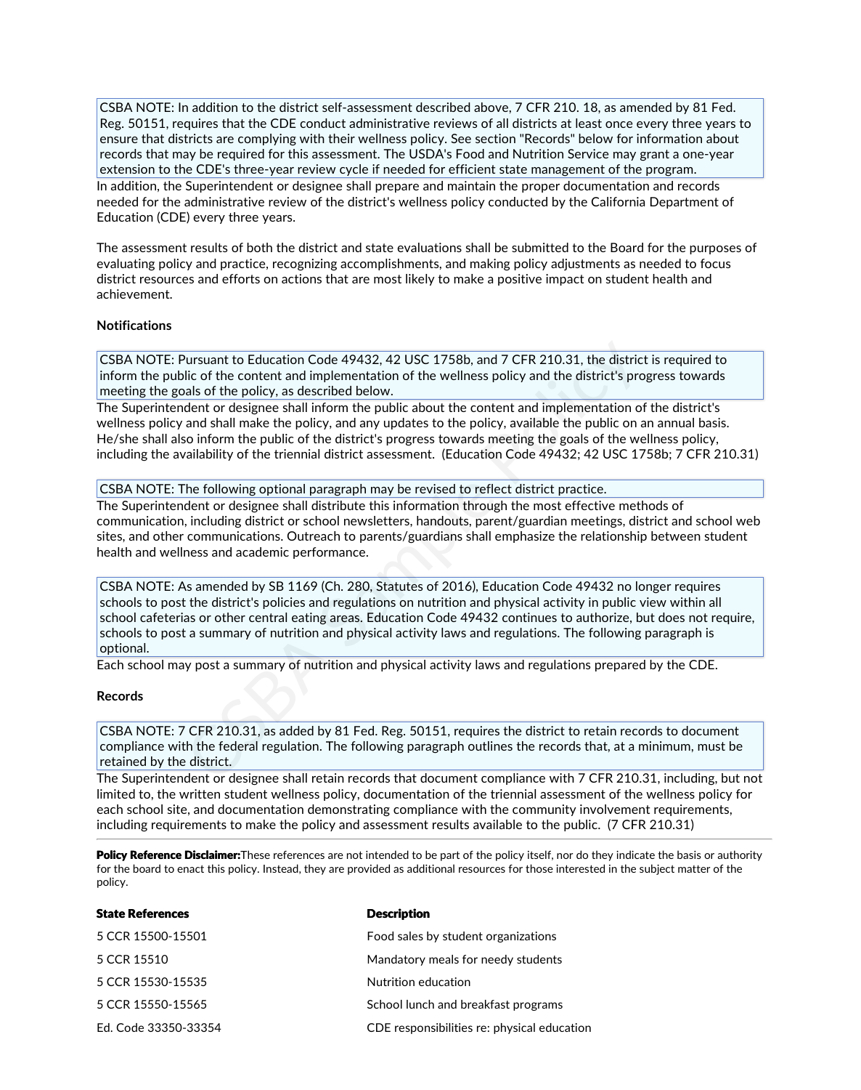CSBA NOTE: In addition to the district self-assessment described above, 7 CFR 210. 18, as amended by 81 Fed.<br>Reg. 50151, requires that the CDE conduct administrative reviews of all districts at least once every three years ensure that districts are complying with their wellness policy. See section "Records" below for information about records that may be required for this assessment. The USDA's Food and Nutrition Service may grant a one-year extension to the CDE's three-year review cycle if needed for efficient state management of the program. In addition, the Superintendent or designee shall prepare and maintain the proper documentation and records needed for the administrative review of the district's wellness policy conducted by the California Department of Education (CDE) every three years.

The assessment results of both the district and state evaluations shall be submitted to the Board for the purposes of evaluating policy and practice, recognizing accomplishments, and making policy adjustments as needed to focus district resources and efforts on actions that are most likely to make a positive impact on student health and achievement.

### **Notifications**

CSBA NOTE: Pursuant to Education Code 49432, 42 USC 1758b, and 7 CFR 210.31, the district is required to inform the public of the content and implementation of the wellness policy and the district's progress towards meeting the goals of the policy, as described below.

The Superintendent or designee shall inform the public about the content and implementation of the district's wellness policy and shall make the policy, and any updates to the policy, available the public on an annual basis.<br>He/she shall also inform the public of the district's progress towards meeting the goals of the wellness po including the availability of the triennial district assessment. (Education Code 49432; 42 USC 1758b; 7 CFR 210.31)

### CSBA NOTE: The following optional paragraph may be revised to reflect district practice.

The Superintendent or designee shall distribute this information through the most effective methods of communication, including district or school newsletters, handouts, parent/guardian meetings, district and school web sites, and other communications. Outreach to parents/guardians shall emphasize the relationship between student health and wellness and academic performance.

CSBA NOTE: As amended by SB 1169 (Ch. 280, Statutes of 2016), Education Code 49432 no longer requires schools to post the district's policies and regulations on nutrition and physical activity in public view within all school cafeterias or other central eating areas. Education Code 49432 continues to authorize, but does not require, schools to post a summary of nutrition and physical activity laws and regulations. The following paragraph is optional. Pursuant to Education Code 49432, 42 USC 1758b, and 7 CFR 210.31, the distriction (in the content and implementation of the wellness policy and the district's present and implementation of the yolicy, as described below.<br>H

Each school may post a summary of nutrition and physical activity laws and regulations prepared by the CDE.

### **Records**

CSBA NOTE: 7 CFR 210.31, as added by 81 Fed. Reg. 50151, requires the district to retain records to document compliance with the federal regulation. The following paragraph outlines the records that, at a minimum, must be retained by the district.

The Superintendent or designee shall retain records that document compliance with 7 CFR 210.31, including, but not limited to, the written student wellness policy, documentation of the triennial assessment of the wellness policy for each school site, and documentation demonstrating compliance with the community involvement requirements, including requirements to make the policy and assessment results available to the public. (7 CFR 210.31)

Policy Reference Disclaimer:These references are not intended to be part of the policy itself, nor do they indicate the basis or authority for the board to enact this policy. Instead, they are provided as additional resources for those interested in the subject matter of the policy.

| <b>State References</b> | <b>Description</b>                          |
|-------------------------|---------------------------------------------|
| 5 CCR 15500-15501       | Food sales by student organizations         |
| 5 CCR 15510             | Mandatory meals for needy students          |
| 5 CCR 15530-15535       | Nutrition education                         |
| 5 CCR 15550-15565       | School lunch and breakfast programs         |
| Ed. Code 33350-33354    | CDE responsibilities re: physical education |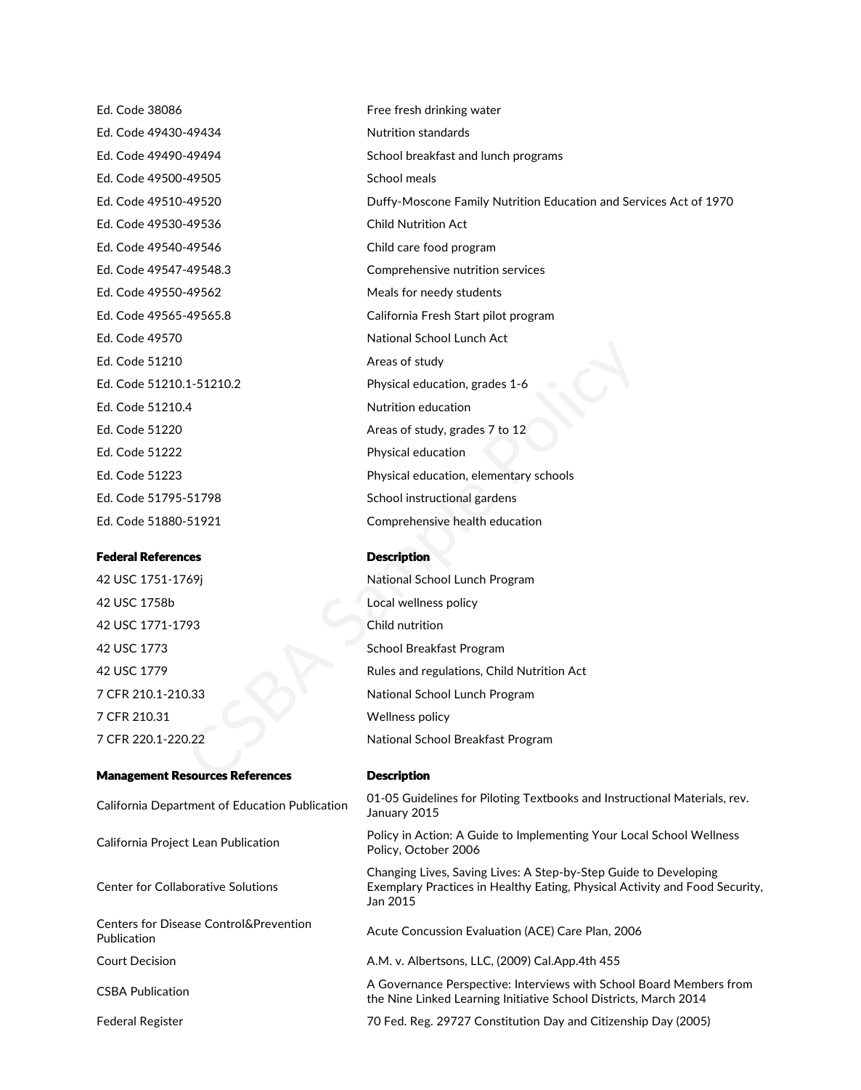Ed. Code 38086 Free fresh drinking water Ed. Code 49430-49434 Nutrition standards Ed. Code 49500-49505 School meals Ed. Code 49530-49536 Child Nutrition Act Ed. Code 49540-49546 Child care food program Ed. Code 49550-49562 Meals for needy students Ed. Code 49570 National School Lunch Act Ed. Code 51210 **Areas of study** Ed. Code 51210.4 Nutrition education Ed. Code 51222 **Physical education** Ed. Code 51795-51798 School instructional gardens

### Federal References and a control of the Description

 USC 1758b Local wellness policy USC 1771-1793 Child nutrition CFR 210.31 Wellness policy CFR 220.1-220.22 National School Breakfast Program

#### Management Resources References Description

# California Department of Education Publication<br>January 2015 California Project Lean Publication Center for Collaborative Solutions

Centers for Disease Control&Prevention Publication

CSBA Publication

Ed. Code 49490-49494 School breakfast and lunch programs Ed. Code 49510-49520 Duffy-Moscone Family Nutrition Education and Services Act of 1970 Ed. Code 49547-49548.3 Comprehensive nutrition services Ed. Code 49565-49565.8 California Fresh Start pilot program Ed. Code 51210.1-51210.2 Physical education, grades 1-6 Ed. Code 51220 Areas of study, grades 7 to 12 Ed. Code 51223 Physical education, elementary schools Ed. Code 51880-51921 Comprehensive health education Francisco Controllering Areas of study<br>
Areas of study<br>
Areas of study<br>
Areas of study, grades 7 to 12<br>
Physical education<br>
Areas of study, grades 7 to 12<br>
Physical education<br>
Physical education<br>
For School instructional g

 USC 1751-1769j National School Lunch Program USC 1773 School Breakfast Program USC 1779 Rules and regulations, Child Nutrition Act CFR 210.1-210.33 National School Lunch Program

01-05 Guidelines for Piloting Textbooks and Instructional Materials, rev.

Policy in Action: A Guide to Implementing Your Local School Wellness Policy, October 2006

Changing Lives, Saving Lives: A Step-by-Step Guide to Developing Exemplary Practices in Healthy Eating, Physical Activity and Food Security, Jan 2015

Acute Concussion Evaluation (ACE) Care Plan, 2006

Court Decision A.M. v. Albertsons, LLC, (2009) Cal.App.4th 455

A Governance Perspective: Interviews with School Board Members from the Nine Linked Learning Initiative School Districts, March 2014

Federal Register 70 Fed. Reg. 29727 Constitution Day and Citizenship Day (2005)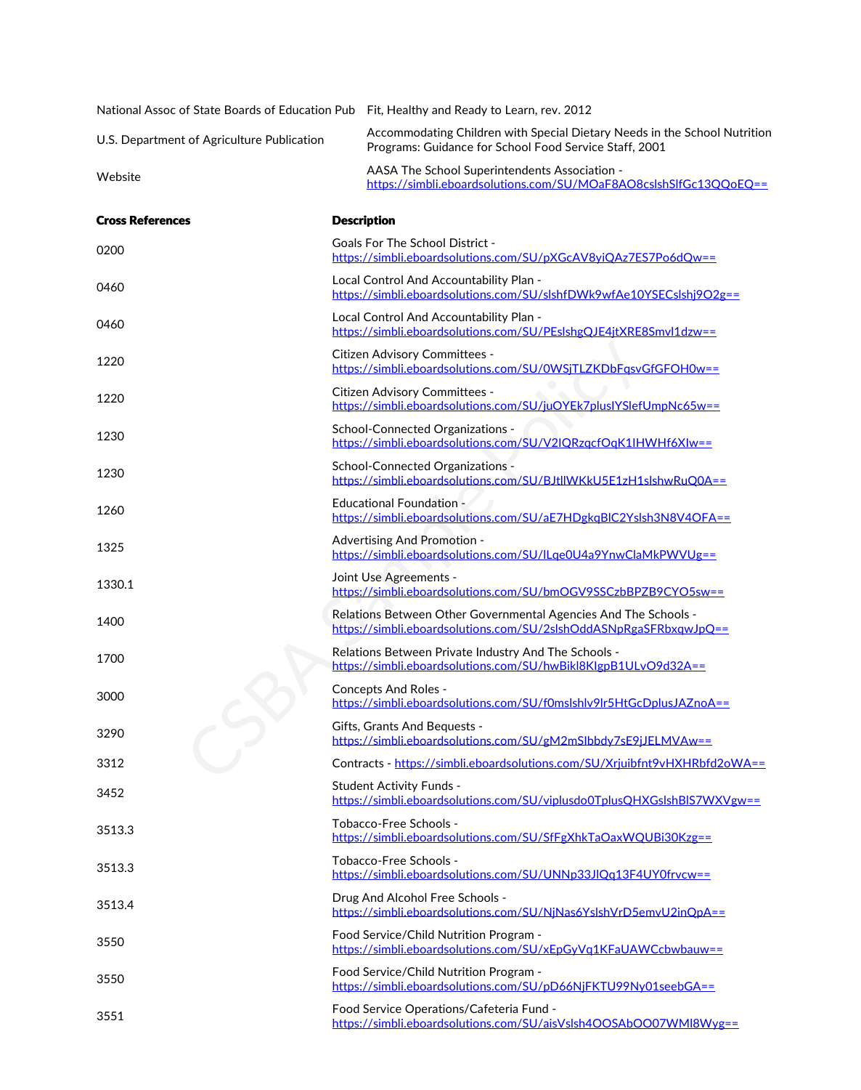|                                            | National Assoc of State Boards of Education Pub Fit, Healthy and Ready to Learn, rev. 2012                                           |
|--------------------------------------------|--------------------------------------------------------------------------------------------------------------------------------------|
| U.S. Department of Agriculture Publication | Accommodating Children with Special Dietary Needs in the School Nutrition<br>Programs: Guidance for School Food Service Staff, 2001  |
| Website                                    | AASA The School Superintendents Association -<br>https://simbli.eboardsolutions.com/SU/MOaF8AO8cslshSlfGc13QQoEQ==                   |
| <b>Cross References</b>                    | <b>Description</b>                                                                                                                   |
| 0200                                       | <b>Goals For The School District -</b><br>https://simbli.eboardsolutions.com/SU/pXGcAV8yiQAz7ES7Po6dQw==                             |
| 0460                                       | Local Control And Accountability Plan -<br>https://simbli.eboardsolutions.com/SU/slshfDWk9wfAe10YSECslshj9O2g==                      |
| 0460                                       | Local Control And Accountability Plan -<br>https://simbli.eboardsolutions.com/SU/PEslshgQJE4jtXRE8Smvl1dzw==                         |
| 1220                                       | Citizen Advisory Committees -<br>https://simbli.eboardsolutions.com/SU/0WSjTLZKDbFqsvGfGFOH0w==                                      |
| 1220                                       | Citizen Advisory Committees -<br>https://simbli.eboardsolutions.com/SU/juOYEk7plusIYSlefUmpNc65w==                                   |
| 1230                                       | School-Connected Organizations -<br>https://simbli.eboardsolutions.com/SU/V2IQRzqcfOqK1IHWHf6XIw==                                   |
| 1230                                       | School-Connected Organizations -<br>https://simbli.eboardsolutions.com/SU/BJtllWKkU5E1zH1slshwRuQ0A==                                |
| 1260                                       | <b>Educational Foundation -</b><br>https://simbli.eboardsolutions.com/SU/aE7HDgkqBIC2Yslsh3N8V4OFA==                                 |
| 1325                                       | Advertising And Promotion -<br>https://simbli.eboardsolutions.com/SU/ILqe0U4a9YnwClaMkPWVUg==                                        |
| 1330.1                                     | Joint Use Agreements -<br>https://simbli.eboardsolutions.com/SU/bmOGV9SSCzbBPZB9CYO5sw==                                             |
| 1400                                       | Relations Between Other Governmental Agencies And The Schools -<br>https://simbli.eboardsolutions.com/SU/2slshOddASNpRgaSFRbxqwJpQ== |
| 1700                                       | Relations Between Private Industry And The Schools -<br>https://simbli.eboardsolutions.com/SU/hwBikl8KIgpB1ULvO9d32A==               |
| 3000                                       | <b>Concepts And Roles -</b><br>https://simbli.eboardsolutions.com/SU/f0mslshlv9lr5HtGcDplusJAZnoA==                                  |
| 3290                                       | Gifts, Grants And Bequests -<br>https://simbli.eboardsolutions.com/SU/gM2mSlbbdy7sE9jJELMVAw==                                       |
| 3312                                       | Contracts - https://simbli.eboardsolutions.com/SU/Xrjuibfnt9vHXHRbfd2oWA==                                                           |
| 3452                                       | <b>Student Activity Funds -</b><br>https://simbli.eboardsolutions.com/SU/viplusdo0TplusQHXGslshBIS7WXVgw==                           |
| 3513.3                                     | Tobacco-Free Schools -<br>https://simbli.eboardsolutions.com/SU/SfFgXhkTaOaxWQUBi30Kzg==                                             |
| 3513.3                                     | Tobacco-Free Schools -<br>https://simbli.eboardsolutions.com/SU/UNNp33JIQq13F4UY0frvcw==                                             |
| 3513.4                                     | Drug And Alcohol Free Schools -<br>https://simbli.eboardsolutions.com/SU/NjNas6YslshVrD5emvU2inQpA==                                 |
| 3550                                       | Food Service/Child Nutrition Program -<br>https://simbli.eboardsolutions.com/SU/xEpGyVq1KFaUAWCcbwbauw==                             |
| 3550                                       | Food Service/Child Nutrition Program -<br>https://simbli.eboardsolutions.com/SU/pD66NjFKTU99Ny01seebGA==                             |
| 3551                                       | Food Service Operations/Cafeteria Fund -<br>https://simbli.eboardsolutions.com/SU/aisVslsh4OOSAbOO07WMl8Wyg==                        |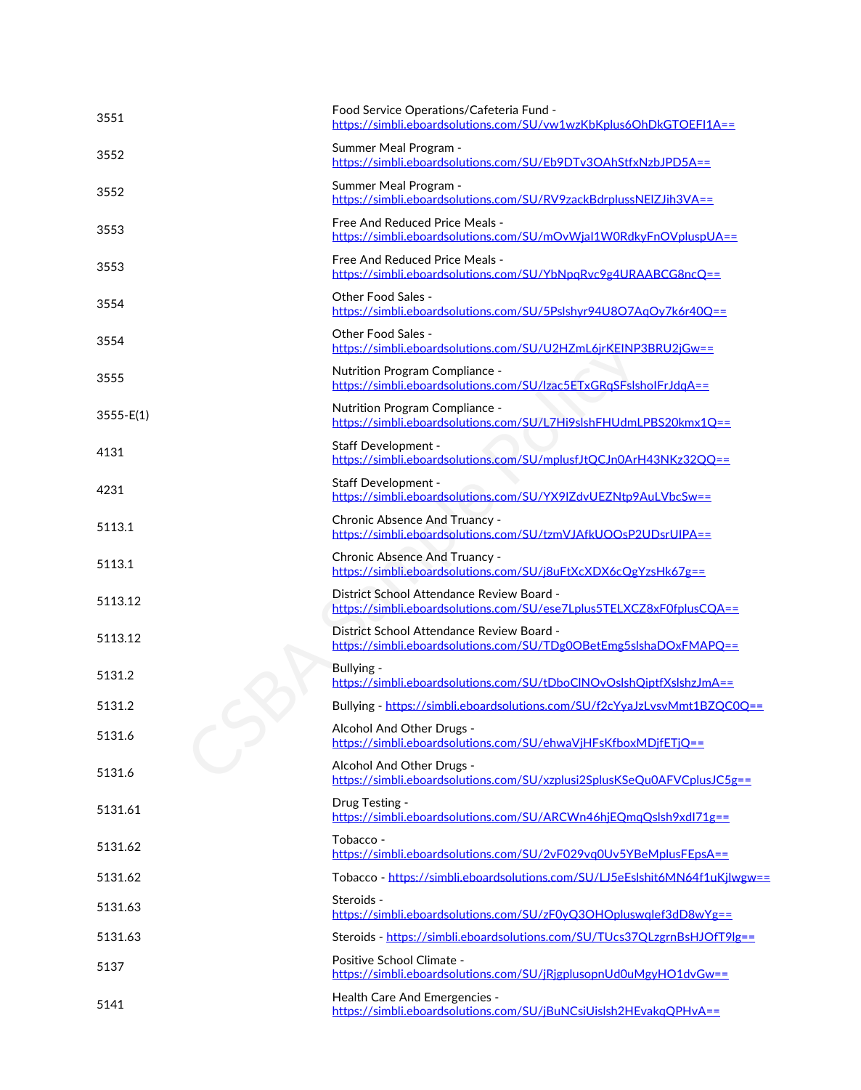| 3551                    | Food Service Operations/Cafeteria Fund -<br>https://simbli.eboardsolutions.com/SU/vw1wzKbKplus6OhDkGTOEFI1A==     |
|-------------------------|-------------------------------------------------------------------------------------------------------------------|
| 3552                    | Summer Meal Program -<br>https://simbli.eboardsolutions.com/SU/Eb9DTv3OAhStfxNzbJPD5A==                           |
| 3552                    | Summer Meal Program -<br>https://simbli.eboardsolutions.com/SU/RV9zackBdrplussNEIZJih3VA==                        |
| 3553                    | Free And Reduced Price Meals -<br>https://simbli.eboardsolutions.com/SU/mOvWjaI1W0RdkyFnOVpluspUA==               |
| 3553                    | Free And Reduced Price Meals -<br>https://simbli.eboardsolutions.com/SU/YbNpqRvc9g4URAABCG8ncQ==                  |
| 3554                    | Other Food Sales -<br>https://simbli.eboardsolutions.com/SU/5Pslshyr94U8O7AqOy7k6r40Q==                           |
| 3554                    | Other Food Sales -<br>https://simbli.eboardsolutions.com/SU/U2HZmL6jrKEINP3BRU2jGw==                              |
| 3555                    | Nutrition Program Compliance -<br>https://simbli.eboardsolutions.com/SU/lzac5ETxGRqSFslsholFrJdqA==               |
| $3555 - E(1)$           | Nutrition Program Compliance -<br>https://simbli.eboardsolutions.com/SU/L7Hi9slshFHUdmLPBS20kmx1Q==               |
| 4131                    | <b>Staff Development -</b><br>https://simbli.eboardsolutions.com/SU/mplusfJtQCJn0ArH43NKz32QQ==                   |
| 4231                    | Staff Development -<br>https://simbli.eboardsolutions.com/SU/YX9IZdvUEZNtp9AuLVbcSw==                             |
| 5113.1                  | Chronic Absence And Truancy -<br>https://simbli.eboardsolutions.com/SU/tzmVJAfkUOOsP2UDsrUIPA==                   |
| 5113.1                  | Chronic Absence And Truancy -<br>https://simbli.eboardsolutions.com/SU/j8uFtXcXDX6cQgYzsHk67g==                   |
| 5113.12                 | District School Attendance Review Board -<br>https://simbli.eboardsolutions.com/SU/ese7Lplus5TELXCZ8xF0fplusCQA== |
| 5113.12                 | District School Attendance Review Board -<br>https://simbli.eboardsolutions.com/SU/TDg0OBetEmg5slshaDOxFMAPQ==    |
| 5131.2                  | Bullying -<br>https://simbli.eboardsolutions.com/SU/tDboClNOvOslshQiptfXslshzJmA==                                |
| 5131.2                  | Bullying - https://simbli.eboardsolutions.com/SU/f2cYyaJzLvsvMmt1BZQC0Q==                                         |
| $\rightarrow$<br>5131.6 | Alcohol And Other Drugs -<br>https://simbli.eboardsolutions.com/SU/ehwaVjHFsKfboxMDjfETjQ==                       |
| 5131.6                  | Alcohol And Other Drugs -<br>https://simbli.eboardsolutions.com/SU/xzplusi2SplusKSeQu0AFVCplusJC5g==              |
| 5131.61                 | Drug Testing -<br>https://simbli.eboardsolutions.com/SU/ARCWn46hjEQmqQslsh9xdl71g==                               |
| 5131.62                 | Tobacco -<br>https://simbli.eboardsolutions.com/SU/2vF029vq0Uv5YBeMplusFEpsA==                                    |
| 5131.62                 | Tobacco - https://simbli.eboardsolutions.com/SU/LJ5eEslshit6MN64f1uKjlwgw==                                       |
| 5131.63                 | Steroids -<br>https://simbli.eboardsolutions.com/SU/zF0yQ3OHOpluswqlef3dD8wYg==                                   |
| 5131.63                 | Steroids - https://simbli.eboardsolutions.com/SU/TUcs37QLzgrnBsHJOfT9lg==                                         |
| 5137                    | Positive School Climate -<br>https://simbli.eboardsolutions.com/SU/jRjgplusopnUd0uMgyHO1dvGw==                    |
| 5141                    | Health Care And Emergencies -<br>https://simbli.eboardsolutions.com/SU/jBuNCsiUislsh2HEvakqQPHvA==                |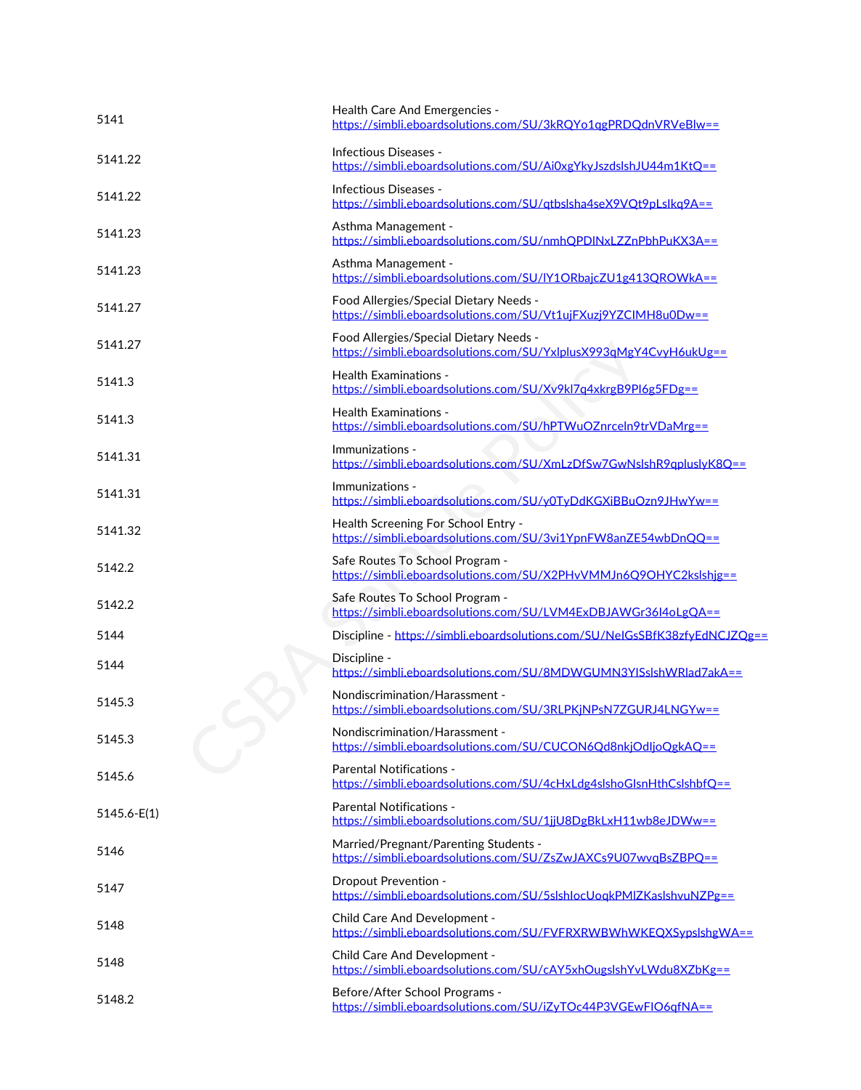| 5141            | Health Care And Emergencies -<br>https://simbli.eboardsolutions.com/SU/3kRQYo1qgPRDQdnVRVeBlw==             |
|-----------------|-------------------------------------------------------------------------------------------------------------|
| 5141.22         | Infectious Diseases -<br>https://simbli.eboardsolutions.com/SU/Ai0xgYkyJszdslshJU44m1KtQ==                  |
| 5141.22         | Infectious Diseases -<br>https://simbli.eboardsolutions.com/SU/qtbslsha4seX9VQt9pLslkq9A==                  |
| 5141.23         | Asthma Management -<br>https://simbli.eboardsolutions.com/SU/nmhQPDINxLZZnPbhPuKX3A==                       |
| 5141.23         | Asthma Management -<br>https://simbli.eboardsolutions.com/SU/lY1ORbajcZU1g413QROWkA==                       |
| 5141.27         | Food Allergies/Special Dietary Needs -<br>https://simbli.eboardsolutions.com/SU/Vt1ujFXuzj9YZCIMH8u0Dw==    |
| 5141.27         | Food Allergies/Special Dietary Needs -<br>https://simbli.eboardsolutions.com/SU/YxlplusX993qMgY4CvyH6ukUg== |
| 5141.3          | <b>Health Examinations -</b><br>https://simbli.eboardsolutions.com/SU/Xv9kl7q4xkrgB9PI6g5FDg==              |
| 5141.3          | <b>Health Examinations -</b><br>https://simbli.eboardsolutions.com/SU/hPTWuOZnrceln9trVDaMrg==              |
| 5141.31         | Immunizations -<br>https://simbli.eboardsolutions.com/SU/XmLzDfSw7GwNslshR9qpluslyK8Q==                     |
| 5141.31         | Immunizations -<br>https://simbli.eboardsolutions.com/SU/y0TyDdKGXiBBuOzn9JHwYw==                           |
| 5141.32         | Health Screening For School Entry -<br>https://simbli.eboardsolutions.com/SU/3vi1YpnFW8anZE54wbDnQQ==       |
| 5142.2          | Safe Routes To School Program -<br>https://simbli.eboardsolutions.com/SU/X2PHvVMMJn6Q9OHYC2kslshjg==        |
| 5142.2          | Safe Routes To School Program -<br>https://simbli.eboardsolutions.com/SU/LVM4ExDBJAWGr36I4oLgQA==           |
| 5144            | Discipline - https://simbli.eboardsolutions.com/SU/NeIGsSBfK38zfyEdNCJZQg==                                 |
| 5144            | Discipline -<br>https://simbli.eboardsolutions.com/SU/8MDWGUMN3YISslshWRlad7akA==                           |
| 5145.3          | Nondiscrimination/Harassment -<br>https://simbli.eboardsolutions.com/SU/3RLPKjNPsN7ZGURJ4LNGYw ==           |
| 5145.3          | Nondiscrimination/Harassment -<br>https://simbli.eboardsolutions.com/SU/CUCON6Qd8nkjOdljoQgkAQ==            |
| 5145.6          | <b>Parental Notifications -</b><br>https://simbli.eboardsolutions.com/SU/4cHxLdg4slshoGlsnHthCslshbfQ==     |
| $5145.6 - E(1)$ | <b>Parental Notifications -</b><br>https://simbli.eboardsolutions.com/SU/1jjU8DgBkLxH11wb8eJDWw==           |
| 5146            | Married/Pregnant/Parenting Students -<br>https://simbli.eboardsolutions.com/SU/ZsZwJAXCs9U07wvqBsZBPQ==     |
| 5147            | <b>Dropout Prevention -</b><br>https://simbli.eboardsolutions.com/SU/5slshlocUoqkPMIZKaslshvuNZPg==         |
| 5148            | Child Care And Development -<br>https://simbli.eboardsolutions.com/SU/FVFRXRWBWhWKEQXSypslshgWA==           |
| 5148            | Child Care And Development -<br>https://simbli.eboardsolutions.com/SU/cAY5xhOugslshYvLWdu8XZbKg==           |
| 5148.2          | Before/After School Programs -<br>https://simbli.eboardsolutions.com/SU/iZyTOc44P3VGEwFIO6qfNA==            |